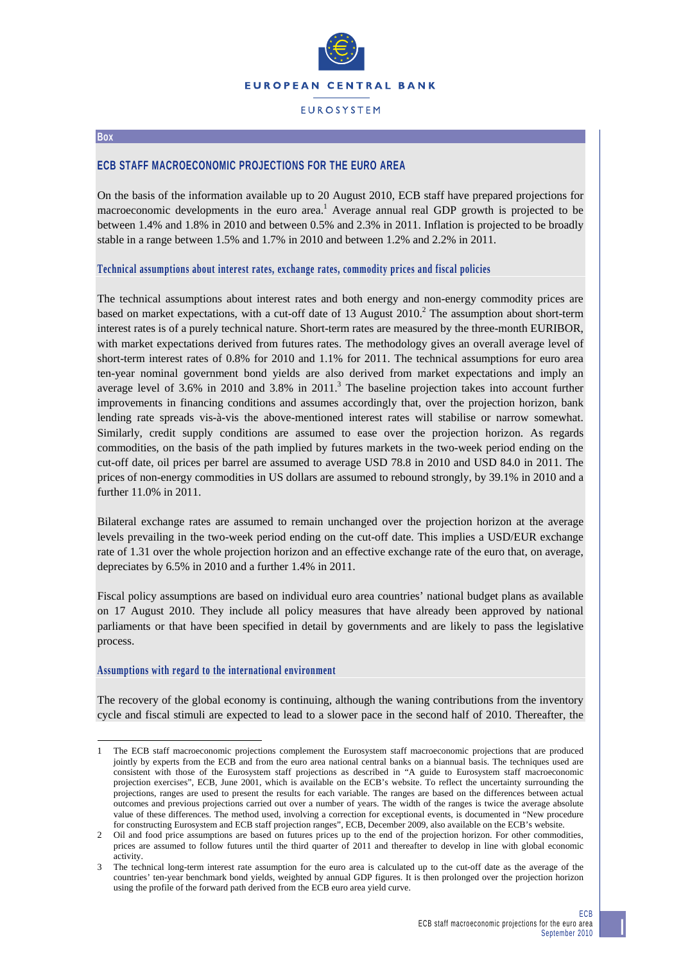

## **FUROSYSTEM**

#### **Box**

-

# **ECB STAFF MACROECONOMIC PROJECTIONS FOR THE EURO AREA**

On the basis of the information available up to 20 August 2010, ECB staff have prepared projections for macroeconomic developments in the euro area.<sup>1</sup> Average annual real GDP growth is projected to be between 1.4% and 1.8% in 2010 and between 0.5% and 2.3% in 2011. Inflation is projected to be broadly stable in a range between 1.5% and 1.7% in 2010 and between 1.2% and 2.2% in 2011.

#### **Technical assumptions about interest rates, exchange rates, commodity prices and fiscal policies**

The technical assumptions about interest rates and both energy and non-energy commodity prices are based on market expectations, with a cut-off date of 13 August  $2010<sup>2</sup>$ . The assumption about short-term interest rates is of a purely technical nature. Short-term rates are measured by the three-month EURIBOR, with market expectations derived from futures rates. The methodology gives an overall average level of short-term interest rates of 0.8% for 2010 and 1.1% for 2011. The technical assumptions for euro area ten-year nominal government bond yields are also derived from market expectations and imply an average level of 3.6% in 2010 and 3.8% in 2011.<sup>3</sup> The baseline projection takes into account further improvements in financing conditions and assumes accordingly that, over the projection horizon, bank lending rate spreads vis-à-vis the above-mentioned interest rates will stabilise or narrow somewhat. Similarly, credit supply conditions are assumed to ease over the projection horizon. As regards commodities, on the basis of the path implied by futures markets in the two-week period ending on the cut-off date, oil prices per barrel are assumed to average USD 78.8 in 2010 and USD 84.0 in 2011. The prices of non-energy commodities in US dollars are assumed to rebound strongly, by 39.1% in 2010 and a further 11.0% in 2011.

Bilateral exchange rates are assumed to remain unchanged over the projection horizon at the average levels prevailing in the two-week period ending on the cut-off date. This implies a USD/EUR exchange rate of 1.31 over the whole projection horizon and an effective exchange rate of the euro that, on average, depreciates by 6.5% in 2010 and a further 1.4% in 2011.

Fiscal policy assumptions are based on individual euro area countries' national budget plans as available on 17 August 2010. They include all policy measures that have already been approved by national parliaments or that have been specified in detail by governments and are likely to pass the legislative process.

### **Assumptions with regard to the international environment**

The recovery of the global economy is continuing, although the waning contributions from the inventory cycle and fiscal stimuli are expected to lead to a slower pace in the second half of 2010. Thereafter, the

<sup>1</sup> The ECB staff macroeconomic projections complement the Eurosystem staff macroeconomic projections that are produced jointly by experts from the ECB and from the euro area national central banks on a biannual basis. The techniques used are consistent with those of the Eurosystem staff projections as described in "A guide to Eurosystem staff macroeconomic projection exercises", ECB, June 2001, which is available on the ECB's website. To reflect the uncertainty surrounding the projections, ranges are used to present the results for each variable. The ranges are based on the differences between actual outcomes and previous projections carried out over a number of years. The width of the ranges is twice the average absolute value of these differences. The method used, involving a correction for exceptional events, is documented in "New procedure for constructing Eurosystem and ECB staff projection ranges", ECB, December 2009, also available on the ECB's website.

<sup>2</sup> Oil and food price assumptions are based on futures prices up to the end of the projection horizon. For other commodities, prices are assumed to follow futures until the third quarter of 2011 and thereafter to develop in line with global economic activity.

The technical long-term interest rate assumption for the euro area is calculated up to the cut-off date as the average of the countries' ten-year benchmark bond yields, weighted by annual GDP figures. It is then prolonged over the projection horizon using the profile of the forward path derived from the ECB euro area yield curve.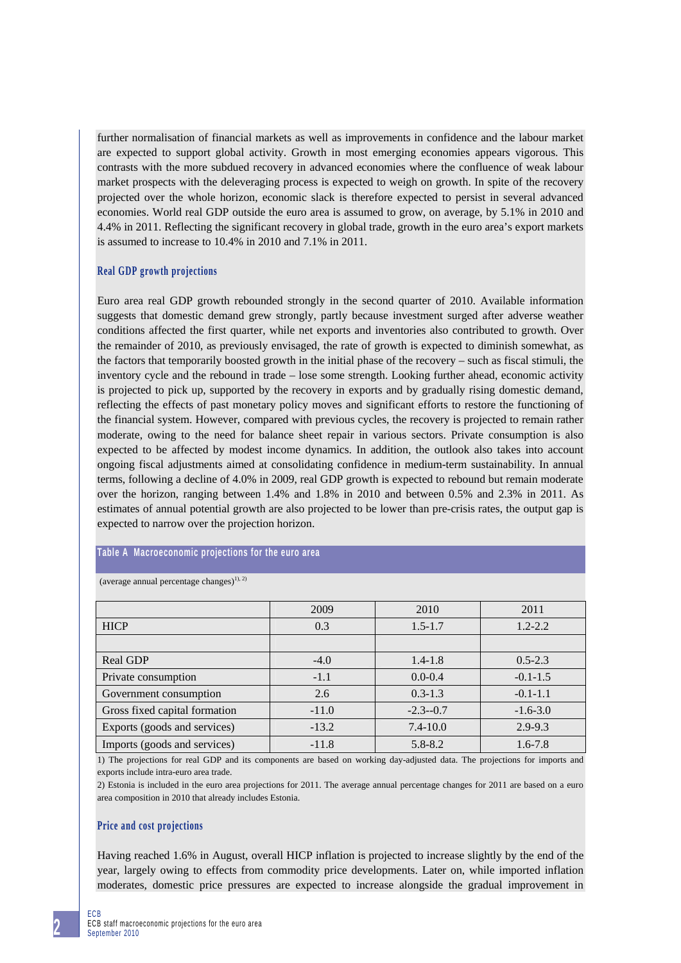further normalisation of financial markets as well as improvements in confidence and the labour market are expected to support global activity. Growth in most emerging economies appears vigorous. This contrasts with the more subdued recovery in advanced economies where the confluence of weak labour market prospects with the deleveraging process is expected to weigh on growth. In spite of the recovery projected over the whole horizon, economic slack is therefore expected to persist in several advanced economies. World real GDP outside the euro area is assumed to grow, on average, by 5.1% in 2010 and 4.4% in 2011. Reflecting the significant recovery in global trade, growth in the euro area's export markets is assumed to increase to 10.4% in 2010 and 7.1% in 2011.

### **Real GDP growth projections**

Euro area real GDP growth rebounded strongly in the second quarter of 2010. Available information suggests that domestic demand grew strongly, partly because investment surged after adverse weather conditions affected the first quarter, while net exports and inventories also contributed to growth. Over the remainder of 2010, as previously envisaged, the rate of growth is expected to diminish somewhat, as the factors that temporarily boosted growth in the initial phase of the recovery – such as fiscal stimuli, the inventory cycle and the rebound in trade – lose some strength. Looking further ahead, economic activity is projected to pick up, supported by the recovery in exports and by gradually rising domestic demand, reflecting the effects of past monetary policy moves and significant efforts to restore the functioning of the financial system. However, compared with previous cycles, the recovery is projected to remain rather moderate, owing to the need for balance sheet repair in various sectors. Private consumption is also expected to be affected by modest income dynamics. In addition, the outlook also takes into account ongoing fiscal adjustments aimed at consolidating confidence in medium-term sustainability. In annual terms, following a decline of 4.0% in 2009, real GDP growth is expected to rebound but remain moderate over the horizon, ranging between 1.4% and 1.8% in 2010 and between 0.5% and 2.3% in 2011. As estimates of annual potential growth are also projected to be lower than pre-crisis rates, the output gap is expected to narrow over the projection horizon.

### **Table A Macroeconomic projections for the euro area**

|                               | 2009    | 2010         | 2011         |  |
|-------------------------------|---------|--------------|--------------|--|
| <b>HICP</b>                   | 0.3     | $1.5 - 1.7$  | $1.2 - 2.2$  |  |
|                               |         |              |              |  |
| <b>Real GDP</b>               | $-4.0$  | $1.4 - 1.8$  | $0.5 - 2.3$  |  |
| Private consumption           | $-1.1$  | $0.0 - 0.4$  | $-0.1 - 1.5$ |  |
| Government consumption        | 2.6     | $0.3 - 1.3$  | $-0.1-1.1$   |  |
| Gross fixed capital formation | $-11.0$ | $-2.3 - 0.7$ | $-1.6 - 3.0$ |  |
| Exports (goods and services)  | $-13.2$ | $7.4 - 10.0$ | $2.9 - 9.3$  |  |
| Imports (goods and services)  | $-11.8$ | $5.8 - 8.2$  | $1.6 - 7.8$  |  |

(average annual percentage changes) $^{1), 2)}$ 

1) The projections for real GDP and its components are based on working day-adjusted data. The projections for imports and exports include intra-euro area trade.

2) Estonia is included in the euro area projections for 2011. The average annual percentage changes for 2011 are based on a euro area composition in 2010 that already includes Estonia.

#### **Price and cost projections**

Having reached 1.6% in August, overall HICP inflation is projected to increase slightly by the end of the year, largely owing to effects from commodity price developments. Later on, while imported inflation moderates, domestic price pressures are expected to increase alongside the gradual improvement in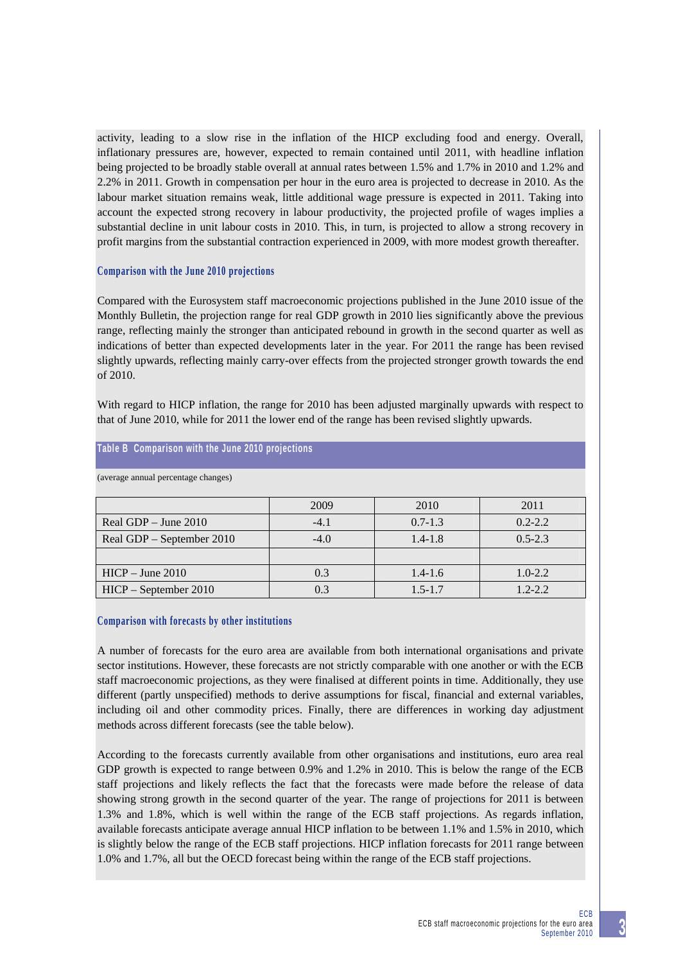activity, leading to a slow rise in the inflation of the HICP excluding food and energy. Overall, inflationary pressures are, however, expected to remain contained until 2011, with headline inflation being projected to be broadly stable overall at annual rates between 1.5% and 1.7% in 2010 and 1.2% and 2.2% in 2011. Growth in compensation per hour in the euro area is projected to decrease in 2010. As the labour market situation remains weak, little additional wage pressure is expected in 2011. Taking into account the expected strong recovery in labour productivity, the projected profile of wages implies a substantial decline in unit labour costs in 2010. This, in turn, is projected to allow a strong recovery in profit margins from the substantial contraction experienced in 2009, with more modest growth thereafter.

# **Comparison with the June 2010 projections**

Compared with the Eurosystem staff macroeconomic projections published in the June 2010 issue of the Monthly Bulletin, the projection range for real GDP growth in 2010 lies significantly above the previous range, reflecting mainly the stronger than anticipated rebound in growth in the second quarter as well as indications of better than expected developments later in the year. For 2011 the range has been revised slightly upwards, reflecting mainly carry-over effects from the projected stronger growth towards the end of 2010.

With regard to HICP inflation, the range for 2010 has been adjusted marginally upwards with respect to that of June 2010, while for 2011 the lower end of the range has been revised slightly upwards.

| (average annual percentage changes) |        |             |             |
|-------------------------------------|--------|-------------|-------------|
|                                     |        |             |             |
|                                     | 2009   | 2010        | 2011        |
| Real GDP $-$ June 2010              | $-4.1$ | $0.7 - 1.3$ | $0.2 - 2.2$ |
| Real GDP – September 2010           | $-4.0$ | $1.4 - 1.8$ | $0.5 - 2.3$ |
|                                     |        |             |             |
| $HICP - June 2010$                  | 0.3    | $1.4 - 1.6$ | $1.0 - 2.2$ |
| HICP – September 2010               | 0.3    | $1.5 - 1.7$ | 1.2-2.2     |

# **Table B Comparison with the June 2010 projections**

## **Comparison with forecasts by other institutions**

A number of forecasts for the euro area are available from both international organisations and private sector institutions. However, these forecasts are not strictly comparable with one another or with the ECB staff macroeconomic projections, as they were finalised at different points in time. Additionally, they use different (partly unspecified) methods to derive assumptions for fiscal, financial and external variables, including oil and other commodity prices. Finally, there are differences in working day adjustment methods across different forecasts (see the table below).

According to the forecasts currently available from other organisations and institutions, euro area real GDP growth is expected to range between 0.9% and 1.2% in 2010. This is below the range of the ECB staff projections and likely reflects the fact that the forecasts were made before the release of data showing strong growth in the second quarter of the year. The range of projections for 2011 is between 1.3% and 1.8%, which is well within the range of the ECB staff projections. As regards inflation, available forecasts anticipate average annual HICP inflation to be between 1.1% and 1.5% in 2010, which is slightly below the range of the ECB staff projections. HICP inflation forecasts for 2011 range between 1.0% and 1.7%, all but the OECD forecast being within the range of the ECB staff projections.